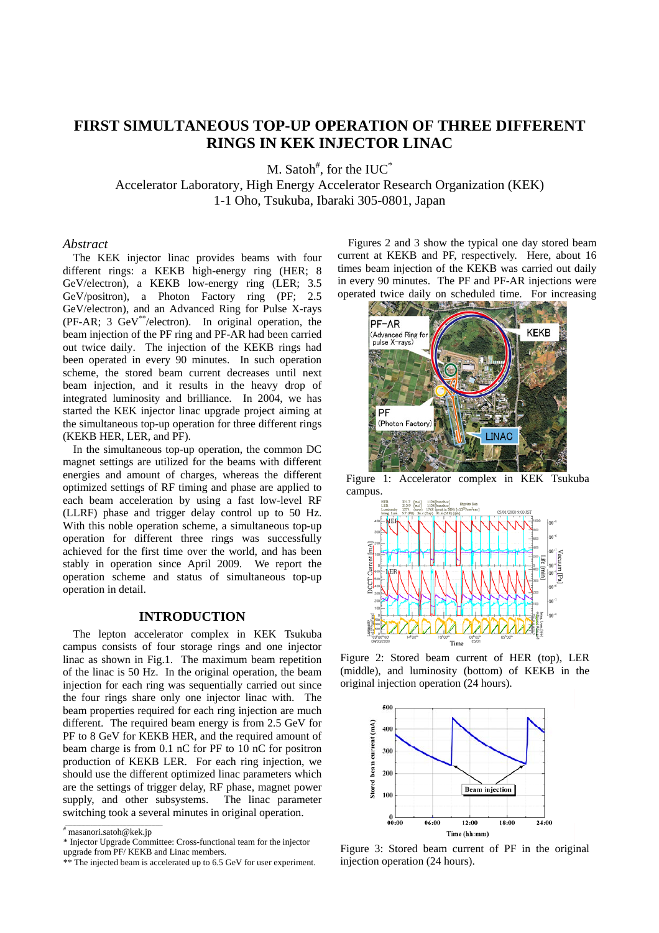# **FIRST SIMULTANEOUS TOP-UP OPERATION OF THREE DIFFERENT RINGS IN KEK INJECTOR LINAC**

M. Satoh<sup>#</sup>, for the IUC<sup>\*</sup>

Accelerator Laboratory, High Energy Accelerator Research Organization (KEK) 1-1 Oho, Tsukuba, Ibaraki 305-0801, Japan

#### *Abstract*

The KEK injector linac provides beams with four different rings: a KEKB high-energy ring (HER; 8 GeV/electron), a KEKB low-energy ring (LER; 3.5 GeV/positron), a Photon Factory ring (PF; 2.5 GeV/electron), and an Advanced Ring for Pulse X-rays (PF-AR; 3 GeV\*\*/electron). In original operation, the beam injection of the PF ring and PF-AR had been carried out twice daily. The injection of the KEKB rings had been operated in every 90 minutes. In such operation scheme, the stored beam current decreases until next beam injection, and it results in the heavy drop of integrated luminosity and brilliance. In 2004, we has started the KEK injector linac upgrade project aiming at the simultaneous top-up operation for three different rings (KEKB HER, LER, and PF).

In the simultaneous top-up operation, the common DC magnet settings are utilized for the beams with different energies and amount of charges, whereas the different optimized settings of RF timing and phase are applied to each beam acceleration by using a fast low-level RF (LLRF) phase and trigger delay control up to 50 Hz. With this noble operation scheme, a simultaneous top-up operation for different three rings was successfully achieved for the first time over the world, and has been stably in operation since April 2009. We report the operation scheme and status of simultaneous top-up operation in detail.

### **INTRODUCTION**

The lepton accelerator complex in KEK Tsukuba campus consists of four storage rings and one injector linac as shown in Fig.1. The maximum beam repetition of the linac is 50 Hz. In the original operation, the beam injection for each ring was sequentially carried out since the four rings share only one injector linac with. The beam properties required for each ring injection are much different. The required beam energy is from 2.5 GeV for PF to 8 GeV for KEKB HER, and the required amount of beam charge is from 0.1 nC for PF to 10 nC for positron production of KEKB LER. For each ring injection, we should use the different optimized linac parameters which are the settings of trigger delay, RF phase, magnet power supply, and other subsystems. The linac parameter switching took a several minutes in original operation.

Figures 2 and 3 show the typical one day stored beam current at KEKB and PF, respectively. Here, about 16 times beam injection of the KEKB was carried out daily in every 90 minutes. The PF and PF-AR injections were operated twice daily on scheduled time. For increasing



Figure 1: Accelerator complex in KEK Tsukuba campus.



Figure 2: Stored beam current of HER (top), LER (middle), and luminosity (bottom) of KEKB in the original injection operation (24 hours).



Figure 3: Stored beam current of PF in the original injection operation (24 hours).

 $\overline{\mathcal{L}}$  masanori.satoh@kek.jp

<sup>\*</sup> Injector Upgrade Committee: Cross-functional team for the injector upgrade from PF/ KEKB and Linac members.

<sup>\*\*</sup> The injected beam is accelerated up to 6.5 GeV for user experiment.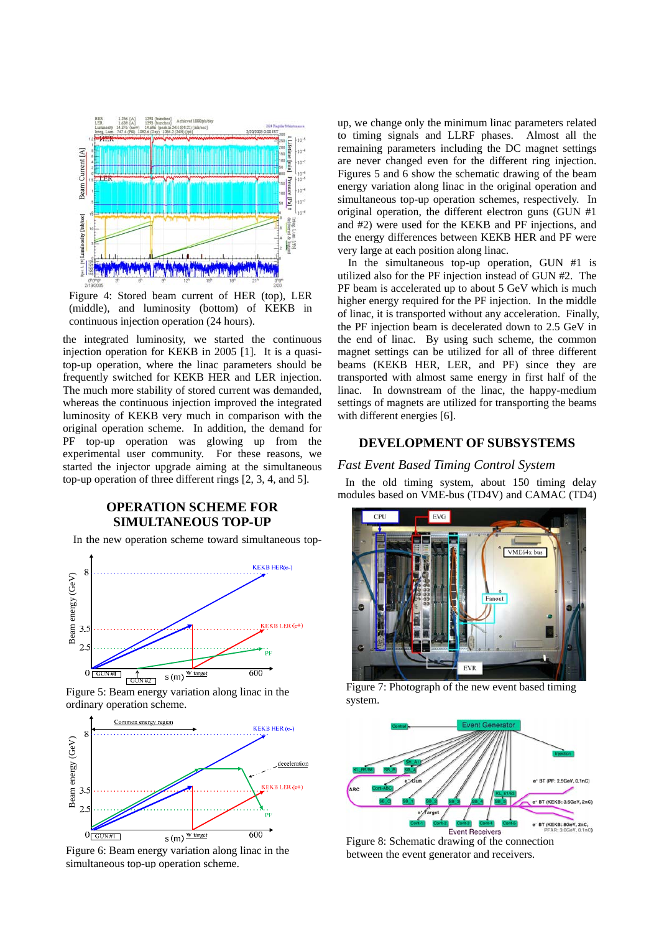

Figure 4: Stored beam current of HER (top), LER (middle), and luminosity (bottom) of KEKB in continuous injection operation (24 hours).

the integrated luminosity, we started the continuous injection operation for KEKB in 2005 [1]. It is a quasitop-up operation, where the linac parameters should be frequently switched for KEKB HER and LER injection. The much more stability of stored current was demanded, whereas the continuous injection improved the integrated luminosity of KEKB very much in comparison with the original operation scheme. In addition, the demand for PF top-up operation was glowing up from the experimental user community. For these reasons, we started the injector upgrade aiming at the simultaneous top-up operation of three different rings [2, 3, 4, and 5].

## **OPERATION SCHEME FOR SIMULTANEOUS TOP-UP**

In the new operation scheme toward simultaneous top-



Figure 5: Beam energy variation along linac in the ordinary operation scheme.



Figure 6: Beam energy variation along linac in the simultaneous top-up operation scheme.

up, we change only the minimum linac parameters related to timing signals and LLRF phases. Almost all the remaining parameters including the DC magnet settings are never changed even for the different ring injection. Figures 5 and 6 show the schematic drawing of the beam energy variation along linac in the original operation and simultaneous top-up operation schemes, respectively. In original operation, the different electron guns (GUN #1 and #2) were used for the KEKB and PF injections, and the energy differences between KEKB HER and PF were very large at each position along linac.

In the simultaneous top-up operation, GUN #1 is utilized also for the PF injection instead of GUN #2. The PF beam is accelerated up to about 5 GeV which is much higher energy required for the PF injection. In the middle of linac, it is transported without any acceleration. Finally, the PF injection beam is decelerated down to 2.5 GeV in the end of linac. By using such scheme, the common magnet settings can be utilized for all of three different beams (KEKB HER, LER, and PF) since they are transported with almost same energy in first half of the linac. In downstream of the linac, the happy-medium settings of magnets are utilized for transporting the beams with different energies [6].

## **DEVELOPMENT OF SUBSYSTEMS**

#### *Fast Event Based Timing Control System*

In the old timing system, about 150 timing delay modules based on VME-bus (TD4V) and CAMAC (TD4)



Figure 7: Photograph of the new event based timing system.



Figure 8: Schematic drawing of the connection between the event generator and receivers.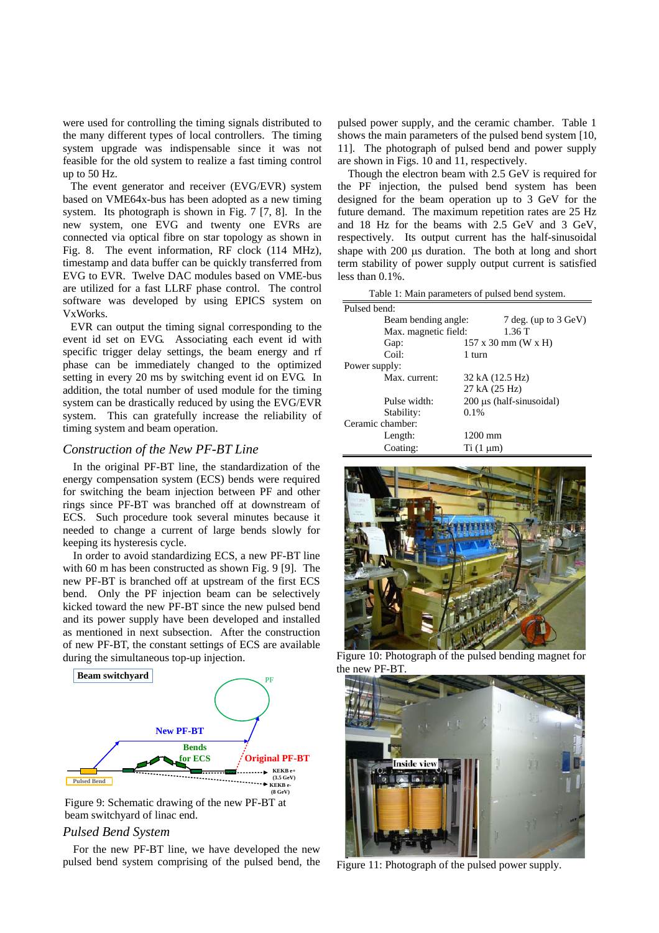were used for controlling the timing signals distributed to the many different types of local controllers. The timing system upgrade was indispensable since it was not feasible for the old system to realize a fast timing control up to 50 Hz.

The event generator and receiver (EVG/EVR) system based on VME64x-bus has been adopted as a new timing system. Its photograph is shown in Fig. 7 [7, 8]. In the new system, one EVG and twenty one EVRs are connected via optical fibre on star topology as shown in Fig. 8. The event information, RF clock (114 MHz), timestamp and data buffer can be quickly transferred from EVG to EVR. Twelve DAC modules based on VME-bus are utilized for a fast LLRF phase control. The control software was developed by using EPICS system on VxWorks.

EVR can output the timing signal corresponding to the event id set on EVG. Associating each event id with specific trigger delay settings, the beam energy and rf phase can be immediately changed to the optimized setting in every 20 ms by switching event id on EVG. In addition, the total number of used module for the timing system can be drastically reduced by using the EVG/EVR system. This can gratefully increase the reliability of timing system and beam operation.

## *Construction of the New PF-BT Line*

In the original PF-BT line, the standardization of the energy compensation system (ECS) bends were required for switching the beam injection between PF and other rings since PF-BT was branched off at downstream of ECS. Such procedure took several minutes because it needed to change a current of large bends slowly for keeping its hysteresis cycle.

In order to avoid standardizing ECS, a new PF-BT line with 60 m has been constructed as shown Fig. 9 [9]. The new PF-BT is branched off at upstream of the first ECS bend. Only the PF injection beam can be selectively kicked toward the new PF-BT since the new pulsed bend and its power supply have been developed and installed as mentioned in next subsection. After the construction of new PF-BT, the constant settings of ECS are available during the simultaneous top-up injection.



Figure 9: Schematic drawing of the new PF-BT at beam switchyard of linac end.

#### *Pulsed Bend System*

For the new PF-BT line, we have developed the new pulsed bend system comprising of the pulsed bend, the pulsed power supply, and the ceramic chamber. Table 1 shows the main parameters of the pulsed bend system [10, 11]. The photograph of pulsed bend and power supply are shown in Figs. 10 and 11, respectively.

Though the electron beam with 2.5 GeV is required for the PF injection, the pulsed bend system has been designed for the beam operation up to 3 GeV for the future demand. The maximum repetition rates are 25 Hz and 18 Hz for the beams with 2.5 GeV and 3 GeV, respectively. Its output current has the half-sinusoidal shape with 200 µs duration. The both at long and short term stability of power supply output current is satisfied less than 0.1%.

| Table 1: Main parameters of pulsed bend system. |                      |                                           |
|-------------------------------------------------|----------------------|-------------------------------------------|
| Pulsed bend:                                    |                      |                                           |
|                                                 | Beam bending angle:  | 7 deg. (up to $3 \text{ GeV}$ )           |
|                                                 | Max. magnetic field: | 1.36T                                     |
|                                                 | Gap:                 | $157 \times 30 \text{ mm}$ (W $\times$ H) |
|                                                 | Coil:                | 1 turn                                    |
| Power supply:                                   |                      |                                           |
|                                                 | Max. current:        | 32 kA (12.5 Hz)                           |
|                                                 |                      | 27 kA (25 Hz)                             |
|                                                 | Pulse width:         | 200 us (half-sinusoidal)                  |
|                                                 | Stability:           | $0.1\%$                                   |
| Ceramic chamber:                                |                      |                                           |
|                                                 | Length:              | $1200 \text{ mm}$                         |
|                                                 | Coating:             | $Ti(1 \mu m)$                             |



Figure 10: Photograph of the pulsed bending magnet for the new PF-BT



Figure 11: Photograph of the pulsed power supply.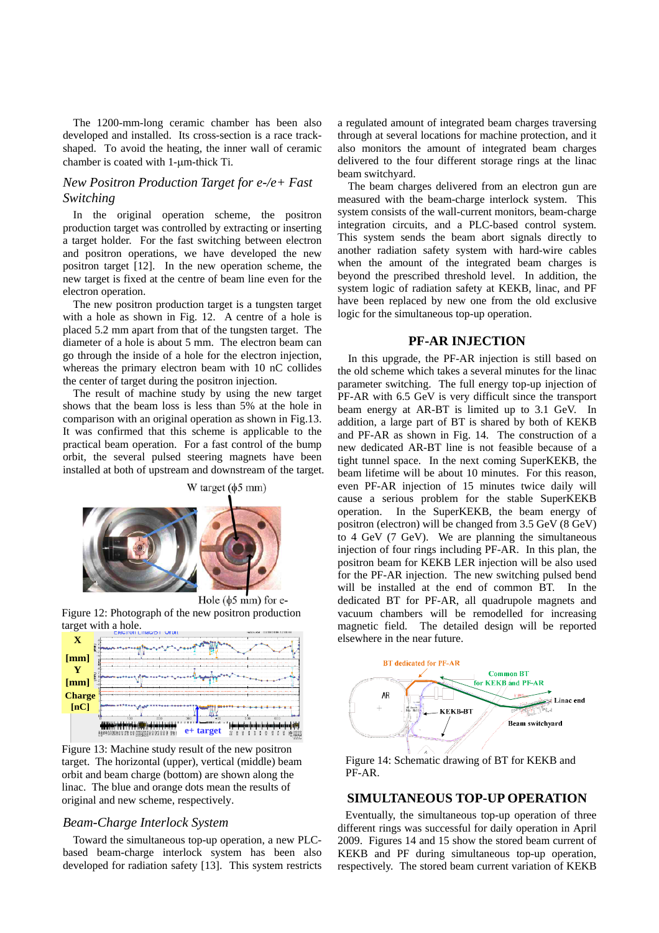The 1200-mm-long ceramic chamber has been also developed and installed. Its cross-section is a race trackshaped. To avoid the heating, the inner wall of ceramic chamber is coated with 1-um-thick Ti.

## *New Positron Production Target for e-/e+ Fast Switching*

In the original operation scheme, the positron production target was controlled by extracting or inserting a target holder. For the fast switching between electron and positron operations, we have developed the new positron target [12]. In the new operation scheme, the new target is fixed at the centre of beam line even for the electron operation.

The new positron production target is a tungsten target with a hole as shown in Fig. 12. A centre of a hole is placed 5.2 mm apart from that of the tungsten target. The diameter of a hole is about 5 mm. The electron beam can go through the inside of a hole for the electron injection, whereas the primary electron beam with 10 nC collides the center of target during the positron injection.

The result of machine study by using the new target shows that the beam loss is less than 5% at the hole in comparison with an original operation as shown in Fig.13. It was confirmed that this scheme is applicable to the practical beam operation. For a fast control of the bump orbit, the several pulsed steering magnets have been installed at both of upstream and downstream of the target.





Figure 12: Photograph of the new positron production target with a hole.



Figure 13: Machine study result of the new positron target. The horizontal (upper), vertical (middle) beam orbit and beam charge (bottom) are shown along the linac. The blue and orange dots mean the results of original and new scheme, respectively.

#### *Beam-Charge Interlock System*

Toward the simultaneous top-up operation, a new PLCbased beam-charge interlock system has been also developed for radiation safety [13]. This system restricts

a regulated amount of integrated beam charges traversing through at several locations for machine protection, and it also monitors the amount of integrated beam charges delivered to the four different storage rings at the linac beam switchyard.

The beam charges delivered from an electron gun are measured with the beam-charge interlock system. This system consists of the wall-current monitors, beam-charge integration circuits, and a PLC-based control system. This system sends the beam abort signals directly to another radiation safety system with hard-wire cables when the amount of the integrated beam charges is beyond the prescribed threshold level. In addition, the system logic of radiation safety at KEKB, linac, and PF have been replaced by new one from the old exclusive logic for the simultaneous top-up operation.

#### **PF-AR INJECTION**

In this upgrade, the PF-AR injection is still based on the old scheme which takes a several minutes for the linac parameter switching. The full energy top-up injection of PF-AR with 6.5 GeV is very difficult since the transport beam energy at AR-BT is limited up to 3.1 GeV. In addition, a large part of BT is shared by both of KEKB and PF-AR as shown in Fig. 14. The construction of a new dedicated AR-BT line is not feasible because of a tight tunnel space. In the next coming SuperKEKB, the beam lifetime will be about 10 minutes. For this reason, even PF-AR injection of 15 minutes twice daily will cause a serious problem for the stable SuperKEKB operation. In the SuperKEKB, the beam energy of positron (electron) will be changed from 3.5 GeV (8 GeV) to 4 GeV (7 GeV). We are planning the simultaneous injection of four rings including PF-AR. In this plan, the positron beam for KEKB LER injection will be also used for the PF-AR injection. The new switching pulsed bend will be installed at the end of common BT. In the dedicated BT for PF-AR, all quadrupole magnets and vacuum chambers will be remodelled for increasing magnetic field. The detailed design will be reported elsewhere in the near future.



Figure 14: Schematic drawing of BT for KEKB and PF-AR.

#### **SIMULTANEOUS TOP-UP OPERATION**

Eventually, the simultaneous top-up operation of three different rings was successful for daily operation in April 2009. Figures 14 and 15 show the stored beam current of KEKB and PF during simultaneous top-up operation, respectively. The stored beam current variation of KEKB